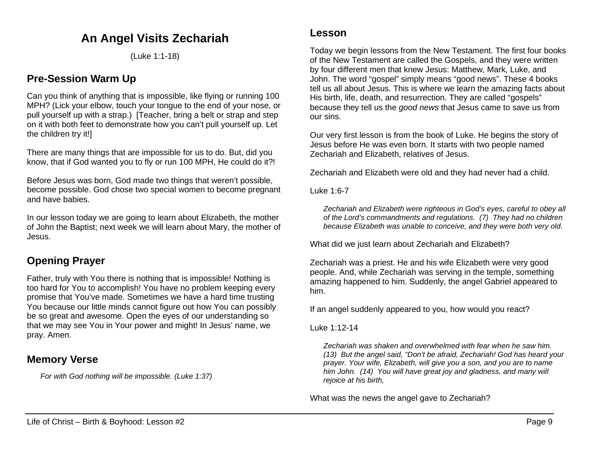# **An Angel Visits Zechariah**

(Luke 1:1-18)

## **Pre-Session Warm Up**

Can you think of anything that is impossible, like flying or running 100 MPH? (Lick your elbow, touch your tongue to the end of your nose, or pull yourself up with a strap.) [Teacher, bring a belt or strap and step on it with both feet to demonstrate how you can't pull yourself up. Let the children try it!]

There are many things that are impossible for us to do. But, did you know, that if God wanted you to fly or run 100 MPH, He could do it?!

Before Jesus was born, God made two things that weren't possible, become possible. God chose two special women to become pregnant and have babies.

In our lesson today we are going to learn about Elizabeth, the mother of John the Baptist; next week we will learn about Mary, the mother of Jesus.

## **Opening Prayer**

Father, truly with You there is nothing that is impossible! Nothing is too hard for You to accomplish! You have no problem keeping every promise that You've made. Sometimes we have a hard time trusting You because our little minds cannot figure out how You can possibly be so great and awesome. Open the eyes of our understanding so that we may see You in Your power and might! In Jesus' name, we pray. Amen.

### **Memory Verse**

*For with God nothing will be impossible. (Luke 1:37)*

### **Lesson**

Today we begin lessons from the New Testament. The first four books of the New Testament are called the Gospels, and they were written by four different men that knew Jesus: Matthew, Mark, Luke, and John. The word "gospel" simply means "good news". These 4 books tell us all about Jesus. This is where we learn the amazing facts about His birth, life, death, and resurrection. They are called "gospels" because they tell us the *good news* that Jesus came to save us from our sins.

Our very first lesson is from the book of Luke. He begins the story of Jesus before He was even born. It starts with two people named Zechariah and Elizabeth, relatives of Jesus.

Zechariah and Elizabeth were old and they had never had a child.

Luke 1:6-7

*Zechariah and Elizabeth were righteous in God's eyes, careful to obey all of the Lord's commandments and regulations. (7) They had no children because Elizabeth was unable to conceive, and they were both very old.*

What did we just learn about Zechariah and Elizabeth?

Zechariah was a priest. He and his wife Elizabeth were very good people. And, while Zechariah was serving in the temple, something amazing happened to him. Suddenly, the angel Gabriel appeared to him.

If an angel suddenly appeared to you, how would you react?

Luke 1:12-14

*Zechariah was shaken and overwhelmed with fear when he saw him. (13) But the angel said, "Don't be afraid, Zechariah! God has heard your prayer. Your wife, Elizabeth, will give you a son, and you are to name him John. (14) You will have great joy and gladness, and many will rejoice at his birth,*

What was the news the angel gave to Zechariah?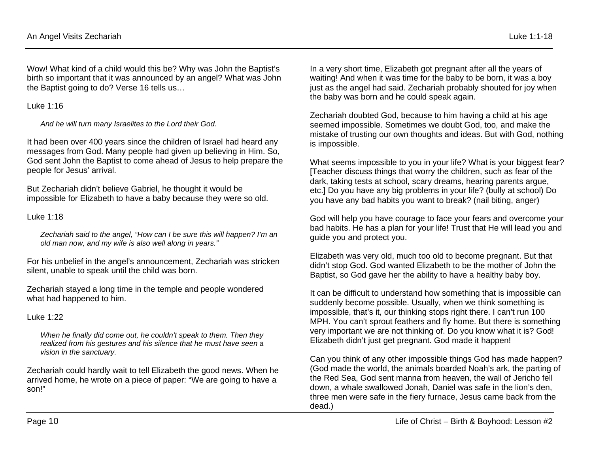Wow! What kind of a child would this be? Why was John the Baptist's birth so important that it was announced by an angel? What was John the Baptist going to do? Verse 16 tells us...

Luke 1:16

*And he will turn many Israelites to the Lord their God.*

It had been over 400 years since the children of Israel had heard any messages from God. Many people had given up believing in Him. So, God sent John the Baptist to come ahead of Jesus to help prepare the people for Jesus' arrival.

But Zechariah didn't believe Gabriel, he thought it would be impossible for Elizabeth to have a baby because they were so old.

#### Luke 1:18

*Zechariah said to the angel, "How can I be sure this will happen? I'm an old man now, and my wife is also well along in years."* 

For his unbelief in the angel's announcement, Zechariah was stricken silent, unable to speak until the child was born.

Zechariah stayed a long time in the temple and people wondered what had happened to him.

Luke 1:22

*When he finally did come out, he couldn't speak to them. Then they realized from his gestures and his silence that he must have seen a vision in the sanctuary.*

Zechariah could hardly wait to tell Elizabeth the good news. When he arrived home, he wrote on a piece of paper: "We are going to have a son!"

In a very short time, Elizabeth got pregnant after all the years of waiting! And when it was time for the baby to be born, it was a boy just as the angel had said. Zechariah probably shouted for joy when the baby was born and he could speak again.

Zechariah doubted God, because to him having a child at his age seemed impossible. Sometimes we doubt God, too, and make the mistake of trusting our own thoughts and ideas. But with God, nothing is impossible.

What seems impossible to you in your life? What is your biggest fear? [Teacher discuss things that worry the children, such as fear of the dark, taking tests at school, scary dreams, hearing parents argue, etc.] Do you have any big problems in your life? (bully at school) Do you have any bad habits you want to break? (nail biting, anger)

God will help you have courage to face your fears and overcome your bad habits. He has a plan for your life! Trust that He will lead you and guide you and protect you.

Elizabeth was very old, much too old to become pregnant. But that didn't stop God. God wanted Elizabeth to be the mother of John the Baptist, so God gave her the ability to have a healthy baby boy.

It can be difficult to understand how something that is impossible can suddenly become possible. Usually, when we think something is impossible, that's it, our thinking stops right there. I can't run 100 MPH. You can't sprout feathers and fly home. But there is something very important we are not thinking of. Do you know what it is? God! Elizabeth didn't just get pregnant. God made it happen!

Can you think of any other impossible things God has made happen? (God made the world, the animals boarded Noah's ark, the parting of the Red Sea, God sent manna from heaven, the wall of Jericho fell down, a whale swallowed Jonah, Daniel was safe in the lion's den, three men were safe in the fiery furnace, Jesus came back from the dead.)